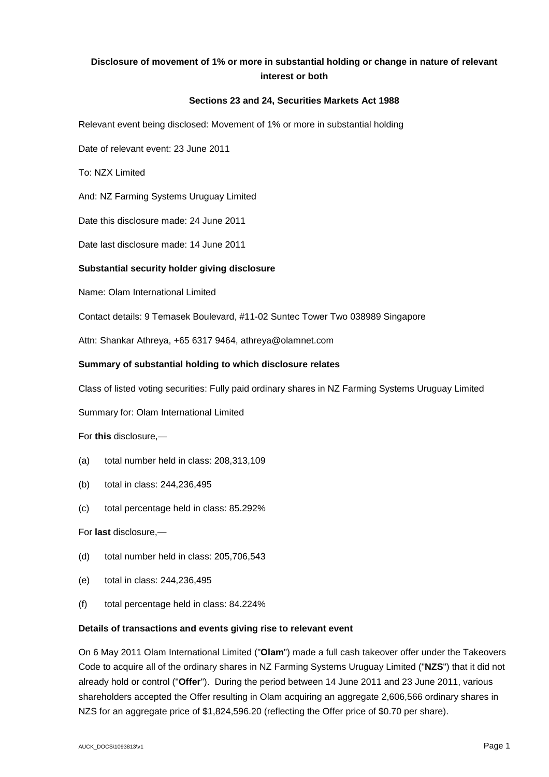# **Disclosure of movement of 1% or more in substantial holding or change in nature of relevant interest or both**

## **Sections 23 and 24, Securities Markets Act 1988**

Relevant event being disclosed: Movement of 1% or more in substantial holding

Date of relevant event: 23 June 2011

To: NZX Limited

And: NZ Farming Systems Uruguay Limited

Date this disclosure made: 24 June 2011

Date last disclosure made: 14 June 2011

### **Substantial security holder giving disclosure**

Name: Olam International Limited

Contact details: 9 Temasek Boulevard, #11-02 Suntec Tower Two 038989 Singapore

Attn: Shankar Athreya, +65 6317 9464, athreya@olamnet.com

### **Summary of substantial holding to which disclosure relates**

Class of listed voting securities: Fully paid ordinary shares in NZ Farming Systems Uruguay Limited

Summary for: Olam International Limited

For **this** disclosure,—

- (a) total number held in class: 208,313,109
- (b) total in class: 244,236,495
- (c) total percentage held in class: 85.292%

For **last** disclosure,—

- (d) total number held in class: 205,706,543
- (e) total in class: 244,236,495
- (f) total percentage held in class: 84.224%

#### **Details of transactions and events giving rise to relevant event**

On 6 May 2011 Olam International Limited ("**Olam**") made a full cash takeover offer under the Takeovers Code to acquire all of the ordinary shares in NZ Farming Systems Uruguay Limited ("**NZS**") that it did not already hold or control ("**Offer**"). During the period between 14 June 2011 and 23 June 2011, various shareholders accepted the Offer resulting in Olam acquiring an aggregate 2,606,566 ordinary shares in NZS for an aggregate price of \$1,824,596.20 (reflecting the Offer price of \$0.70 per share).